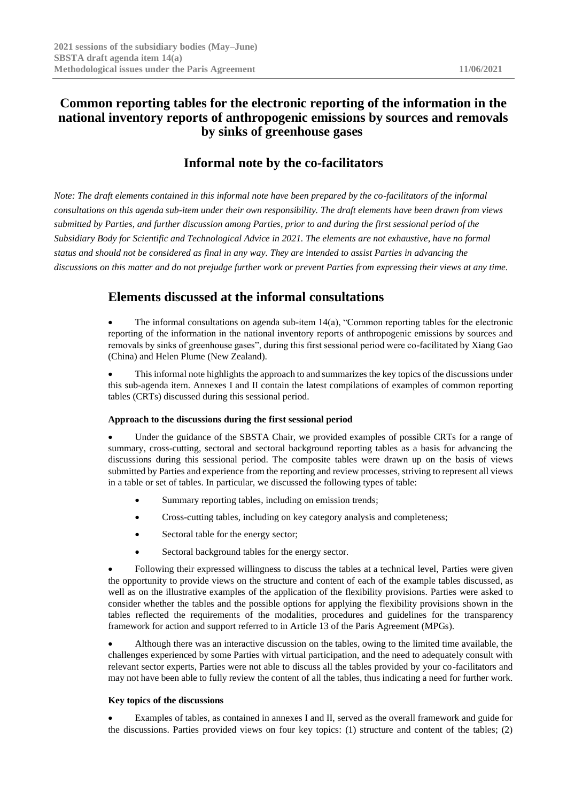# **Common reporting tables for the electronic reporting of the information in the national inventory reports of anthropogenic emissions by sources and removals by sinks of greenhouse gases**

# **Informal note by the co-facilitators**

*Note: The draft elements contained in this informal note have been prepared by the co-facilitators of the informal consultations on this agenda sub-item under their own responsibility. The draft elements have been drawn from views submitted by Parties, and further discussion among Parties, prior to and during the first sessional period of the Subsidiary Body for Scientific and Technological Advice in 2021. The elements are not exhaustive, have no formal status and should not be considered as final in any way. They are intended to assist Parties in advancing the discussions on this matter and do not prejudge further work or prevent Parties from expressing their views at any time.*

# **Elements discussed at the informal consultations**

• The informal consultations on agenda sub-item 14(a), "Common reporting tables for the electronic reporting of the information in the national inventory reports of anthropogenic emissions by sources and removals by sinks of greenhouse gases", during this first sessional period were co-facilitated by Xiang Gao (China) and Helen Plume (New Zealand).

• This informal note highlights the approach to and summarizes the key topics of the discussions under this sub-agenda item. Annexes I and II contain the latest compilations of examples of common reporting tables (CRTs) discussed during this sessional period.

# **Approach to the discussions during the first sessional period**

Under the guidance of the SBSTA Chair, we provided examples of possible CRTs for a range of summary, cross-cutting, sectoral and sectoral background reporting tables as a basis for advancing the discussions during this sessional period. The composite tables were drawn up on the basis of views submitted by Parties and experience from the reporting and review processes, striving to represent all views in a table or set of tables. In particular, we discussed the following types of table:

- Summary reporting tables, including on emission trends;
- Cross-cutting tables, including on key category analysis and completeness;
- Sectoral table for the energy sector;
- Sectoral background tables for the energy sector.

• Following their expressed willingness to discuss the tables at a technical level, Parties were given the opportunity to provide views on the structure and content of each of the example tables discussed, as well as on the illustrative examples of the application of the flexibility provisions. Parties were asked to consider whether the tables and the possible options for applying the flexibility provisions shown in the tables reflected the requirements of the modalities, procedures and guidelines for the transparency framework for action and support referred to in Article 13 of the Paris Agreement (MPGs).

• Although there was an interactive discussion on the tables, owing to the limited time available, the challenges experienced by some Parties with virtual participation, and the need to adequately consult with relevant sector experts, Parties were not able to discuss all the tables provided by your co-facilitators and may not have been able to fully review the content of all the tables, thus indicating a need for further work.

# **Key topics of the discussions**

• Examples of tables, as contained in annexes I and II, served as the overall framework and guide for the discussions. Parties provided views on four key topics: (1) structure and content of the tables; (2)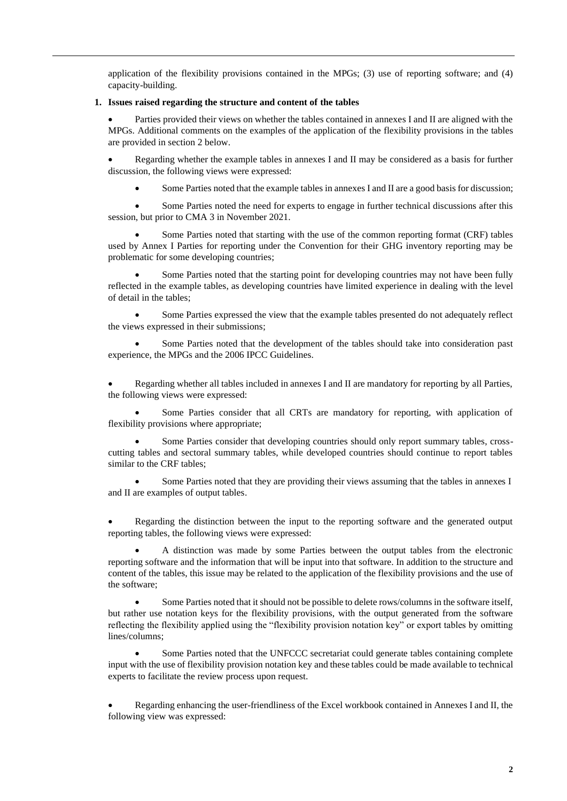application of the flexibility provisions contained in the MPGs; (3) use of reporting software; and (4) capacity-building.

### **1. Issues raised regarding the structure and content of the tables**

Parties provided their views on whether the tables contained in annexes I and II are aligned with the MPGs. Additional comments on the examples of the application of the flexibility provisions in the tables are provided in section 2 below.

• Regarding whether the example tables in annexes I and II may be considered as a basis for further discussion, the following views were expressed:

• Some Parties noted that the example tables in annexes I and II are a good basis for discussion;

Some Parties noted the need for experts to engage in further technical discussions after this session, but prior to CMA 3 in November 2021.

• Some Parties noted that starting with the use of the common reporting format (CRF) tables used by Annex I Parties for reporting under the Convention for their GHG inventory reporting may be problematic for some developing countries;

Some Parties noted that the starting point for developing countries may not have been fully reflected in the example tables, as developing countries have limited experience in dealing with the level of detail in the tables;

• Some Parties expressed the view that the example tables presented do not adequately reflect the views expressed in their submissions;

• Some Parties noted that the development of the tables should take into consideration past experience, the MPGs and the 2006 IPCC Guidelines.

• Regarding whether all tables included in annexes I and II are mandatory for reporting by all Parties, the following views were expressed:

• Some Parties consider that all CRTs are mandatory for reporting, with application of flexibility provisions where appropriate;

Some Parties consider that developing countries should only report summary tables, crosscutting tables and sectoral summary tables, while developed countries should continue to report tables similar to the CRF tables;

Some Parties noted that they are providing their views assuming that the tables in annexes I and II are examples of output tables.

• Regarding the distinction between the input to the reporting software and the generated output reporting tables, the following views were expressed:

• A distinction was made by some Parties between the output tables from the electronic reporting software and the information that will be input into that software. In addition to the structure and content of the tables, this issue may be related to the application of the flexibility provisions and the use of the software;

• Some Parties noted that it should not be possible to delete rows/columns in the software itself, but rather use notation keys for the flexibility provisions, with the output generated from the software reflecting the flexibility applied using the "flexibility provision notation key" or export tables by omitting lines/columns;

• Some Parties noted that the UNFCCC secretariat could generate tables containing complete input with the use of flexibility provision notation key and these tables could be made available to technical experts to facilitate the review process upon request.

• Regarding enhancing the user-friendliness of the Excel workbook contained in Annexes I and II, the following view was expressed: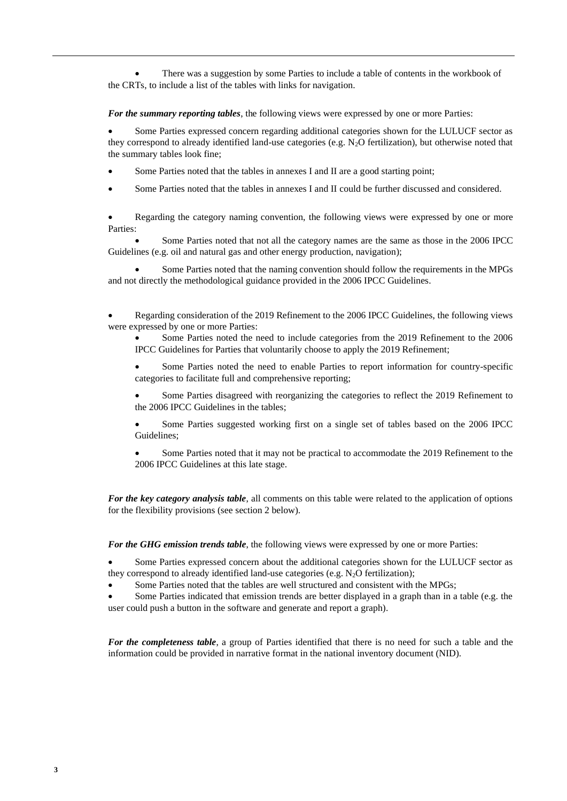• There was a suggestion by some Parties to include a table of contents in the workbook of the CRTs, to include a list of the tables with links for navigation.

*For the summary reporting tables*, the following views were expressed by one or more Parties:

• Some Parties expressed concern regarding additional categories shown for the LULUCF sector as they correspond to already identified land-use categories (e.g. N2O fertilization), but otherwise noted that the summary tables look fine;

- Some Parties noted that the tables in annexes I and II are a good starting point;
- Some Parties noted that the tables in annexes I and II could be further discussed and considered.

Regarding the category naming convention, the following views were expressed by one or more Parties:

• Some Parties noted that not all the category names are the same as those in the 2006 IPCC Guidelines (e.g. oil and natural gas and other energy production, navigation);

• Some Parties noted that the naming convention should follow the requirements in the MPGs and not directly the methodological guidance provided in the 2006 IPCC Guidelines.

• Regarding consideration of the 2019 Refinement to the 2006 IPCC Guidelines, the following views were expressed by one or more Parties:

Some Parties noted the need to include categories from the 2019 Refinement to the 2006 IPCC Guidelines for Parties that voluntarily choose to apply the 2019 Refinement;

• Some Parties noted the need to enable Parties to report information for country-specific categories to facilitate full and comprehensive reporting;

• Some Parties disagreed with reorganizing the categories to reflect the 2019 Refinement to the 2006 IPCC Guidelines in the tables;

• Some Parties suggested working first on a single set of tables based on the 2006 IPCC Guidelines;

• Some Parties noted that it may not be practical to accommodate the 2019 Refinement to the 2006 IPCC Guidelines at this late stage.

*For the key category analysis table*, all comments on this table were related to the application of options for the flexibility provisions (see section 2 below).

*For the GHG emission trends table*, the following views were expressed by one or more Parties:

Some Parties expressed concern about the additional categories shown for the LULUCF sector as they correspond to already identified land-use categories (e.g.  $N_2O$  fertilization);

• Some Parties noted that the tables are well structured and consistent with the MPGs;

• Some Parties indicated that emission trends are better displayed in a graph than in a table (e.g. the user could push a button in the software and generate and report a graph).

*For the completeness table*, a group of Parties identified that there is no need for such a table and the information could be provided in narrative format in the national inventory document (NID).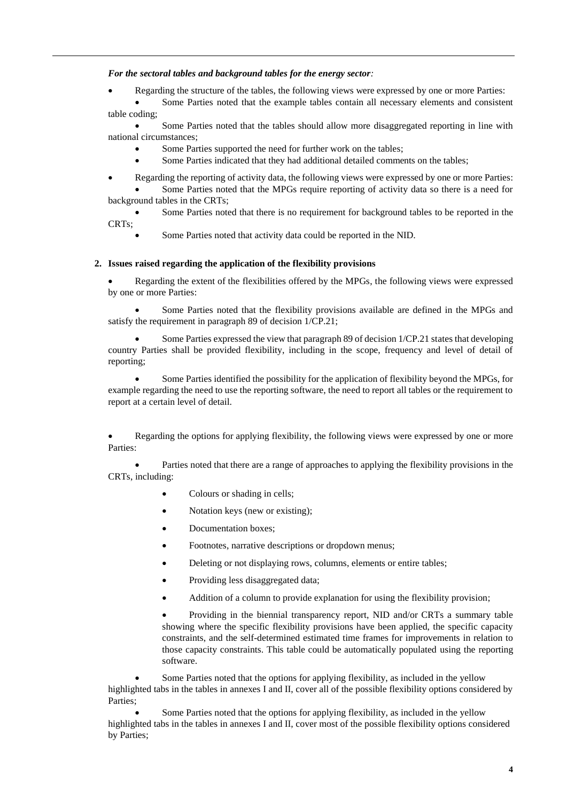*For the sectoral tables and background tables for the energy sector:*

• Regarding the structure of the tables, the following views were expressed by one or more Parties:

Some Parties noted that the example tables contain all necessary elements and consistent table coding;

• Some Parties noted that the tables should allow more disaggregated reporting in line with national circumstances;

- Some Parties supported the need for further work on the tables;
- Some Parties indicated that they had additional detailed comments on the tables;

• Regarding the reporting of activity data, the following views were expressed by one or more Parties: • Some Parties noted that the MPGs require reporting of activity data so there is a need for

background tables in the CRTs;

• Some Parties noted that there is no requirement for background tables to be reported in the CRTs;

Some Parties noted that activity data could be reported in the NID.

#### **2. Issues raised regarding the application of the flexibility provisions**

• Regarding the extent of the flexibilities offered by the MPGs, the following views were expressed by one or more Parties:

• Some Parties noted that the flexibility provisions available are defined in the MPGs and satisfy the requirement in paragraph 89 of decision 1/CP.21;

• Some Parties expressed the view that paragraph 89 of decision 1/CP.21 states that developing country Parties shall be provided flexibility, including in the scope, frequency and level of detail of reporting;

• Some Parties identified the possibility for the application of flexibility beyond the MPGs, for example regarding the need to use the reporting software, the need to report all tables or the requirement to report at a certain level of detail.

• Regarding the options for applying flexibility, the following views were expressed by one or more Parties:

• Parties noted that there are a range of approaches to applying the flexibility provisions in the CRTs, including:

- Colours or shading in cells;
- Notation keys (new or existing);
- Documentation boxes;
- Footnotes, narrative descriptions or dropdown menus;
- Deleting or not displaying rows, columns, elements or entire tables;
- Providing less disaggregated data;
- Addition of a column to provide explanation for using the flexibility provision;

• Providing in the biennial transparency report, NID and/or CRTs a summary table showing where the specific flexibility provisions have been applied, the specific capacity constraints, and the self-determined estimated time frames for improvements in relation to those capacity constraints. This table could be automatically populated using the reporting software.

Some Parties noted that the options for applying flexibility, as included in the yellow highlighted tabs in the tables in annexes I and II, cover all of the possible flexibility options considered by Parties;

Some Parties noted that the options for applying flexibility, as included in the yellow highlighted tabs in the tables in annexes I and II, cover most of the possible flexibility options considered by Parties;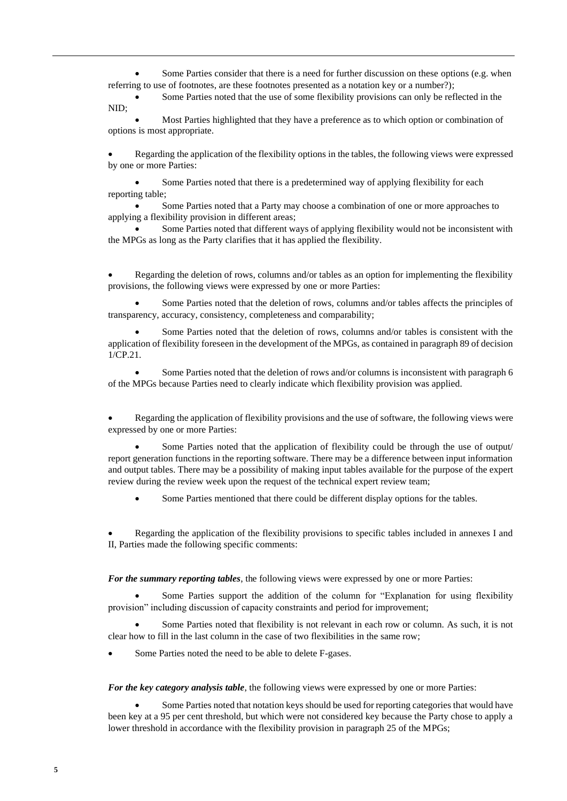Some Parties consider that there is a need for further discussion on these options (e.g. when referring to use of footnotes, are these footnotes presented as a notation key or a number?);

Some Parties noted that the use of some flexibility provisions can only be reflected in the NID;

• Most Parties highlighted that they have a preference as to which option or combination of options is most appropriate.

• Regarding the application of the flexibility options in the tables, the following views were expressed by one or more Parties:

Some Parties noted that there is a predetermined way of applying flexibility for each reporting table;

• Some Parties noted that a Party may choose a combination of one or more approaches to applying a flexibility provision in different areas;

• Some Parties noted that different ways of applying flexibility would not be inconsistent with the MPGs as long as the Party clarifies that it has applied the flexibility.

• Regarding the deletion of rows, columns and/or tables as an option for implementing the flexibility provisions, the following views were expressed by one or more Parties:

• Some Parties noted that the deletion of rows, columns and/or tables affects the principles of transparency, accuracy, consistency, completeness and comparability;

• Some Parties noted that the deletion of rows, columns and/or tables is consistent with the application of flexibility foreseen in the development of the MPGs, as contained in paragraph 89 of decision 1/CP.21.

• Some Parties noted that the deletion of rows and/or columns is inconsistent with paragraph 6 of the MPGs because Parties need to clearly indicate which flexibility provision was applied.

• Regarding the application of flexibility provisions and the use of software, the following views were expressed by one or more Parties:

• Some Parties noted that the application of flexibility could be through the use of output/ report generation functions in the reporting software. There may be a difference between input information and output tables. There may be a possibility of making input tables available for the purpose of the expert review during the review week upon the request of the technical expert review team;

Some Parties mentioned that there could be different display options for the tables.

• Regarding the application of the flexibility provisions to specific tables included in annexes I and II, Parties made the following specific comments:

*For the summary reporting tables*, the following views were expressed by one or more Parties:

Some Parties support the addition of the column for "Explanation for using flexibility provision" including discussion of capacity constraints and period for improvement;

• Some Parties noted that flexibility is not relevant in each row or column. As such, it is not clear how to fill in the last column in the case of two flexibilities in the same row;

Some Parties noted the need to be able to delete F-gases.

*For the key category analysis table*, the following views were expressed by one or more Parties:

• Some Parties noted that notation keys should be used for reporting categories that would have been key at a 95 per cent threshold, but which were not considered key because the Party chose to apply a lower threshold in accordance with the flexibility provision in paragraph 25 of the MPGs;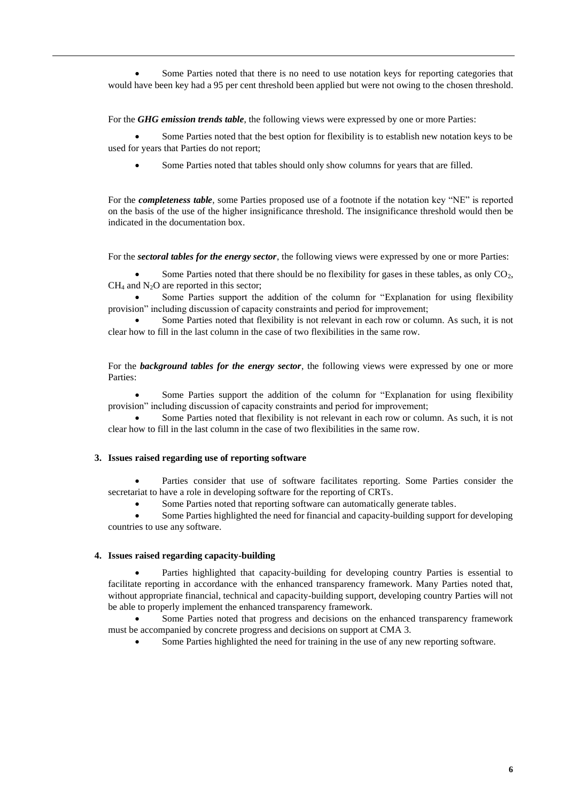Some Parties noted that there is no need to use notation keys for reporting categories that would have been key had a 95 per cent threshold been applied but were not owing to the chosen threshold.

For the *GHG emission trends table*, the following views were expressed by one or more Parties:

• Some Parties noted that the best option for flexibility is to establish new notation keys to be used for years that Parties do not report;

• Some Parties noted that tables should only show columns for years that are filled.

For the *completeness table*, some Parties proposed use of a footnote if the notation key "NE" is reported on the basis of the use of the higher insignificance threshold. The insignificance threshold would then be indicated in the documentation box.

For the *sectoral tables for the energy sector*, the following views were expressed by one or more Parties:

Some Parties noted that there should be no flexibility for gases in these tables, as only CO2,  $CH<sub>4</sub>$  and N<sub>2</sub>O are reported in this sector;

Some Parties support the addition of the column for "Explanation for using flexibility provision" including discussion of capacity constraints and period for improvement;

• Some Parties noted that flexibility is not relevant in each row or column. As such, it is not clear how to fill in the last column in the case of two flexibilities in the same row.

For the *background tables for the energy sector*, the following views were expressed by one or more Parties:

Some Parties support the addition of the column for "Explanation for using flexibility provision" including discussion of capacity constraints and period for improvement;

• Some Parties noted that flexibility is not relevant in each row or column. As such, it is not clear how to fill in the last column in the case of two flexibilities in the same row.

# **3. Issues raised regarding use of reporting software**

• Parties consider that use of software facilitates reporting. Some Parties consider the secretariat to have a role in developing software for the reporting of CRTs.

Some Parties noted that reporting software can automatically generate tables.

• Some Parties highlighted the need for financial and capacity-building support for developing countries to use any software.

# **4. Issues raised regarding capacity-building**

• Parties highlighted that capacity-building for developing country Parties is essential to facilitate reporting in accordance with the enhanced transparency framework. Many Parties noted that, without appropriate financial, technical and capacity-building support, developing country Parties will not be able to properly implement the enhanced transparency framework.

Some Parties noted that progress and decisions on the enhanced transparency framework must be accompanied by concrete progress and decisions on support at CMA 3.

Some Parties highlighted the need for training in the use of any new reporting software.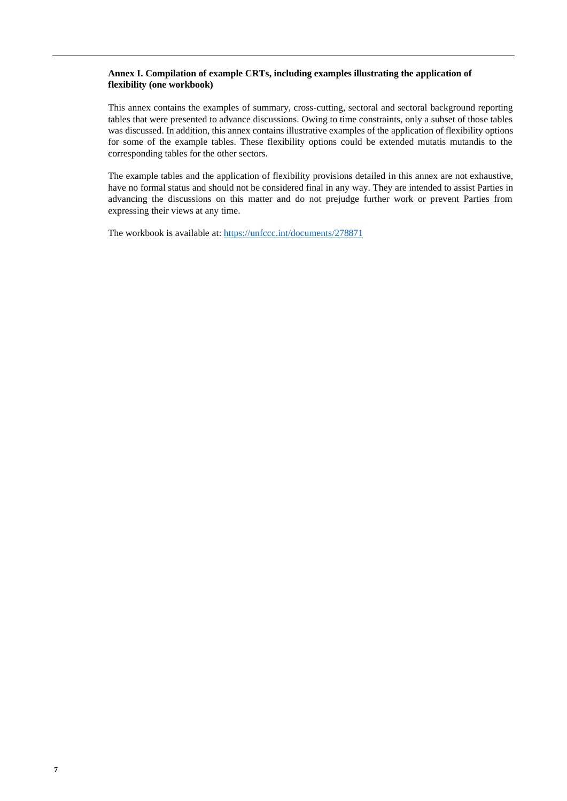### **Annex I. Compilation of example CRTs, including examples illustrating the application of flexibility (one workbook)**

This annex contains the examples of summary, cross-cutting, sectoral and sectoral background reporting tables that were presented to advance discussions. Owing to time constraints, only a subset of those tables was discussed. In addition, this annex contains illustrative examples of the application of flexibility options for some of the example tables. These flexibility options could be extended mutatis mutandis to the corresponding tables for the other sectors.

The example tables and the application of flexibility provisions detailed in this annex are not exhaustive, have no formal status and should not be considered final in any way. They are intended to assist Parties in advancing the discussions on this matter and do not prejudge further work or prevent Parties from expressing their views at any time.

The workbook is available at:<https://unfccc.int/documents/278871>